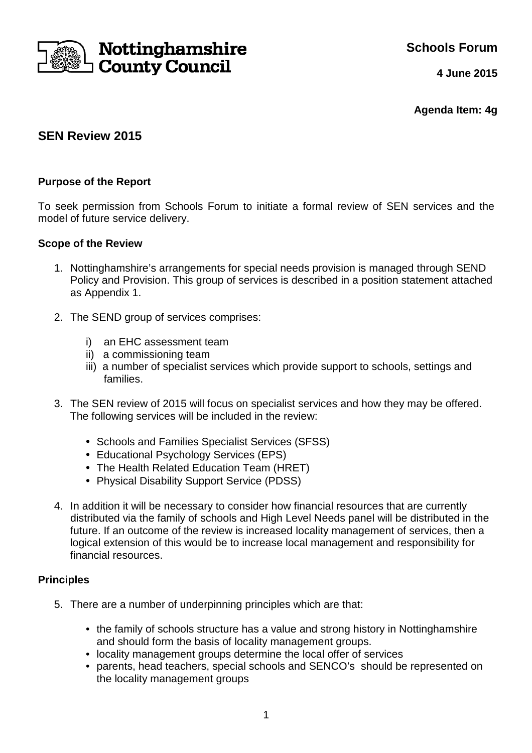

**Schools Forum**

**4 June 2015**

**Agenda Item: 4g**

# **SEN Review 2015**

# **Purpose of the Report**

To seek permission from Schools Forum to initiate a formal review of SEN services and the model of future service delivery.

## **Scope of the Review**

- 1. Nottinghamshire's arrangements for special needs provision is managed through SEND Policy and Provision. This group of services is described in a position statement attached as Appendix 1.
- 2. The SEND group of services comprises:
	- i) an EHC assessment team
	- ii) a commissioning team
	- iii) a number of specialist services which provide support to schools, settings and families.
- 3. The SEN review of 2015 will focus on specialist services and how they may be offered. The following services will be included in the review:
	- Schools and Families Specialist Services (SFSS)
	- Educational Psychology Services (EPS)
	- The Health Related Education Team (HRET)
	- Physical Disability Support Service (PDSS)
- 4. In addition it will be necessary to consider how financial resources that are currently distributed via the family of schools and High Level Needs panel will be distributed in the future. If an outcome of the review is increased locality management of services, then a logical extension of this would be to increase local management and responsibility for financial resources.

## **Principles**

- 5. There are a number of underpinning principles which are that:
	- the family of schools structure has a value and strong history in Nottinghamshire and should form the basis of locality management groups.
	- locality management groups determine the local offer of services
	- parents, head teachers, special schools and SENCO's should be represented on the locality management groups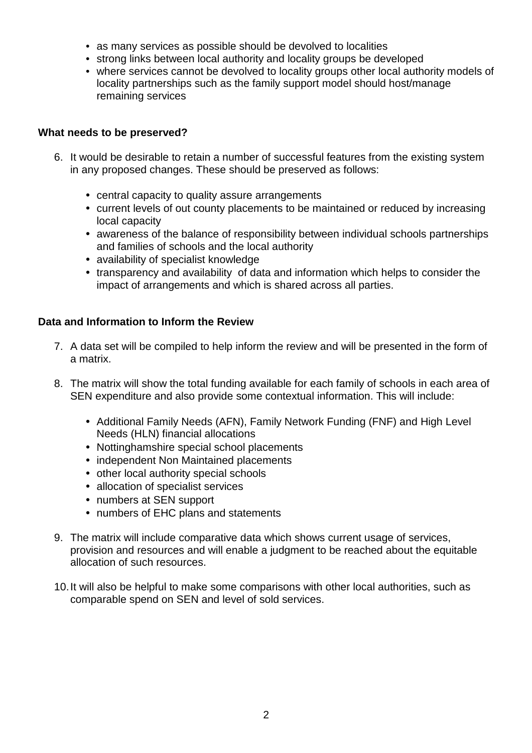- as many services as possible should be devolved to localities
- strong links between local authority and locality groups be developed
- where services cannot be devolved to locality groups other local authority models of locality partnerships such as the family support model should host/manage remaining services

# **What needs to be preserved?**

- 6. It would be desirable to retain a number of successful features from the existing system in any proposed changes. These should be preserved as follows:
	- central capacity to quality assure arrangements
	- current levels of out county placements to be maintained or reduced by increasing local capacity
	- awareness of the balance of responsibility between individual schools partnerships and families of schools and the local authority
	- availability of specialist knowledge
	- transparency and availability of data and information which helps to consider the impact of arrangements and which is shared across all parties.

# **Data and Information to Inform the Review**

- 7. A data set will be compiled to help inform the review and will be presented in the form of a matrix.
- 8. The matrix will show the total funding available for each family of schools in each area of SEN expenditure and also provide some contextual information. This will include:
	- Additional Family Needs (AFN), Family Network Funding (FNF) and High Level Needs (HLN) financial allocations
	- Nottinghamshire special school placements
	- independent Non Maintained placements
	- other local authority special schools
	- allocation of specialist services
	- numbers at SEN support
	- numbers of EHC plans and statements
- 9. The matrix will include comparative data which shows current usage of services, provision and resources and will enable a judgment to be reached about the equitable allocation of such resources.
- 10. It will also be helpful to make some comparisons with other local authorities, such as comparable spend on SEN and level of sold services.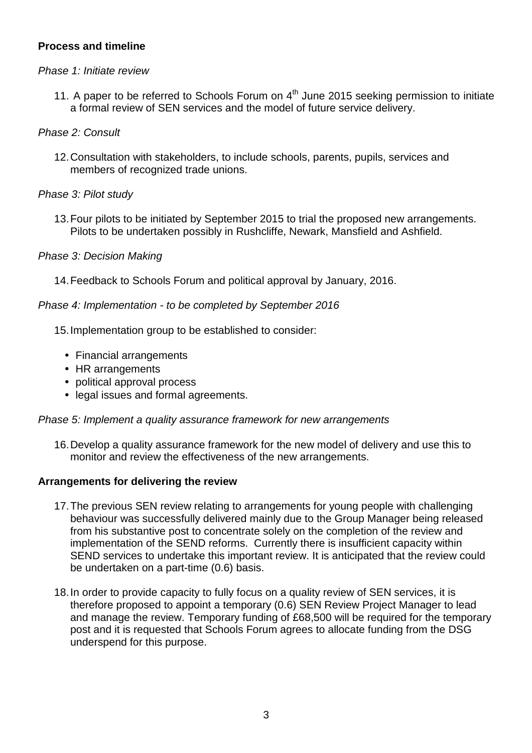## **Process and timeline**

## Phase 1: Initiate review

11. A paper to be referred to Schools Forum on  $4<sup>th</sup>$  June 2015 seeking permission to initiate a formal review of SEN services and the model of future service delivery.

## Phase 2: Consult

12. Consultation with stakeholders, to include schools, parents, pupils, services and members of recognized trade unions.

# Phase 3: Pilot study

13. Four pilots to be initiated by September 2015 to trial the proposed new arrangements. Pilots to be undertaken possibly in Rushcliffe, Newark, Mansfield and Ashfield.

# Phase 3: Decision Making

14. Feedback to Schools Forum and political approval by January, 2016.

## Phase 4: Implementation - to be completed by September 2016

15. Implementation group to be established to consider:

- Financial arrangements
- HR arrangements
- political approval process
- legal issues and formal agreements.

## Phase 5: Implement a quality assurance framework for new arrangements

16. Develop a quality assurance framework for the new model of delivery and use this to monitor and review the effectiveness of the new arrangements.

## **Arrangements for delivering the review**

- 17. The previous SEN review relating to arrangements for young people with challenging behaviour was successfully delivered mainly due to the Group Manager being released from his substantive post to concentrate solely on the completion of the review and implementation of the SEND reforms. Currently there is insufficient capacity within SEND services to undertake this important review. It is anticipated that the review could be undertaken on a part-time (0.6) basis.
- 18. In order to provide capacity to fully focus on a quality review of SEN services, it is therefore proposed to appoint a temporary (0.6) SEN Review Project Manager to lead and manage the review. Temporary funding of £68,500 will be required for the temporary post and it is requested that Schools Forum agrees to allocate funding from the DSG underspend for this purpose.